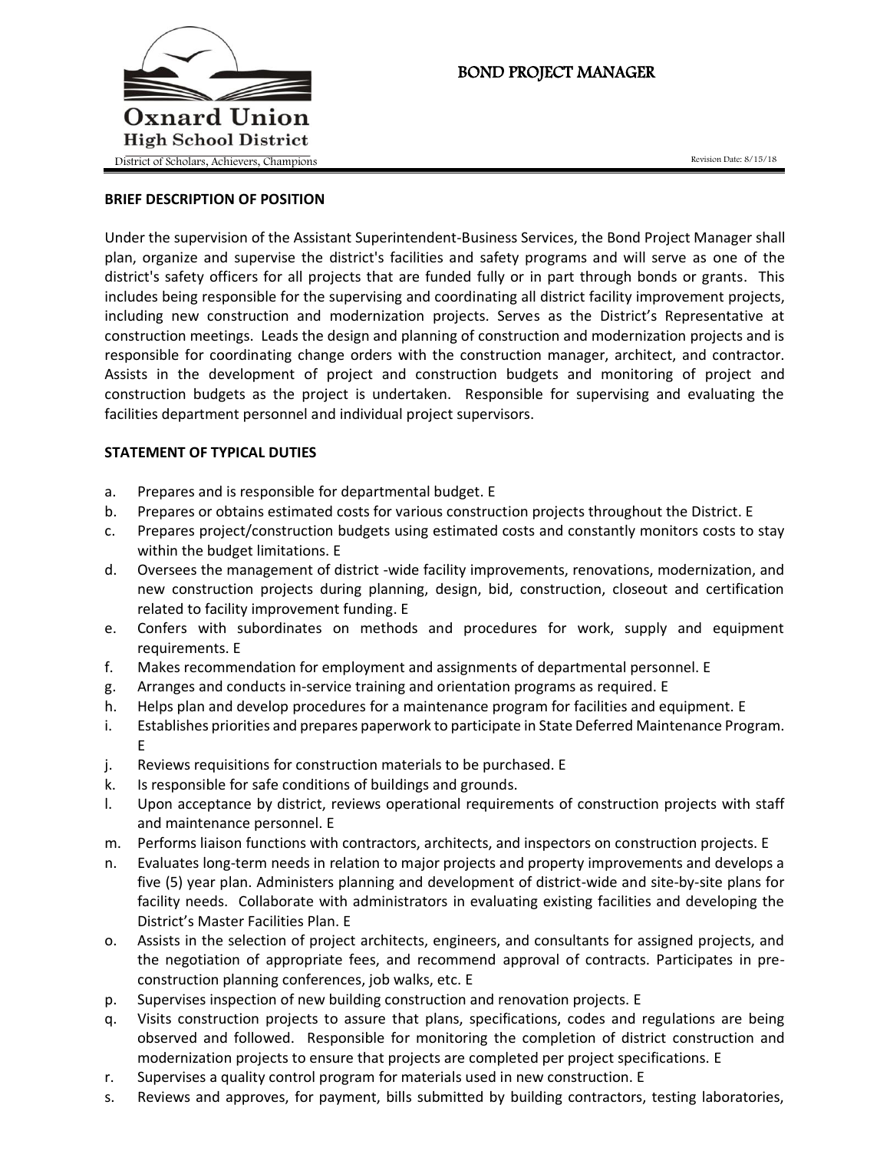

# BOND PROJECT MANAGER

### **BRIEF DESCRIPTION OF POSITION**

Under the supervision of the Assistant Superintendent-Business Services, the Bond Project Manager shall plan, organize and supervise the district's facilities and safety programs and will serve as one of the district's safety officers for all projects that are funded fully or in part through bonds or grants. This includes being responsible for the supervising and coordinating all district facility improvement projects, including new construction and modernization projects. Serves as the District's Representative at construction meetings. Leads the design and planning of construction and modernization projects and is responsible for coordinating change orders with the construction manager, architect, and contractor. Assists in the development of project and construction budgets and monitoring of project and construction budgets as the project is undertaken. Responsible for supervising and evaluating the facilities department personnel and individual project supervisors.

### **STATEMENT OF TYPICAL DUTIES**

- a. Prepares and is responsible for departmental budget. E
- b. Prepares or obtains estimated costs for various construction projects throughout the District. E
- c. Prepares project/construction budgets using estimated costs and constantly monitors costs to stay within the budget limitations. E
- d. Oversees the management of district -wide facility improvements, renovations, modernization, and new construction projects during planning, design, bid, construction, closeout and certification related to facility improvement funding. E
- e. Confers with subordinates on methods and procedures for work, supply and equipment requirements. E
- f. Makes recommendation for employment and assignments of departmental personnel. E
- g. Arranges and conducts in-service training and orientation programs as required. E
- h. Helps plan and develop procedures for a maintenance program for facilities and equipment. E
- i. Establishes priorities and prepares paperwork to participate in State Deferred Maintenance Program. E
- j. Reviews requisitions for construction materials to be purchased. E
- k. Is responsible for safe conditions of buildings and grounds.
- l. Upon acceptance by district, reviews operational requirements of construction projects with staff and maintenance personnel. E
- m. Performs liaison functions with contractors, architects, and inspectors on construction projects. E
- n. Evaluates long-term needs in relation to major projects and property improvements and develops a five (5) year plan. Administers planning and development of district-wide and site-by-site plans for facility needs. Collaborate with administrators in evaluating existing facilities and developing the District's Master Facilities Plan. E
- o. Assists in the selection of project architects, engineers, and consultants for assigned projects, and the negotiation of appropriate fees, and recommend approval of contracts. Participates in preconstruction planning conferences, job walks, etc. E
- p. Supervises inspection of new building construction and renovation projects. E
- q. Visits construction projects to assure that plans, specifications, codes and regulations are being observed and followed. Responsible for monitoring the completion of district construction and modernization projects to ensure that projects are completed per project specifications. E
- r. Supervises a quality control program for materials used in new construction. E
- s. Reviews and approves, for payment, bills submitted by building contractors, testing laboratories,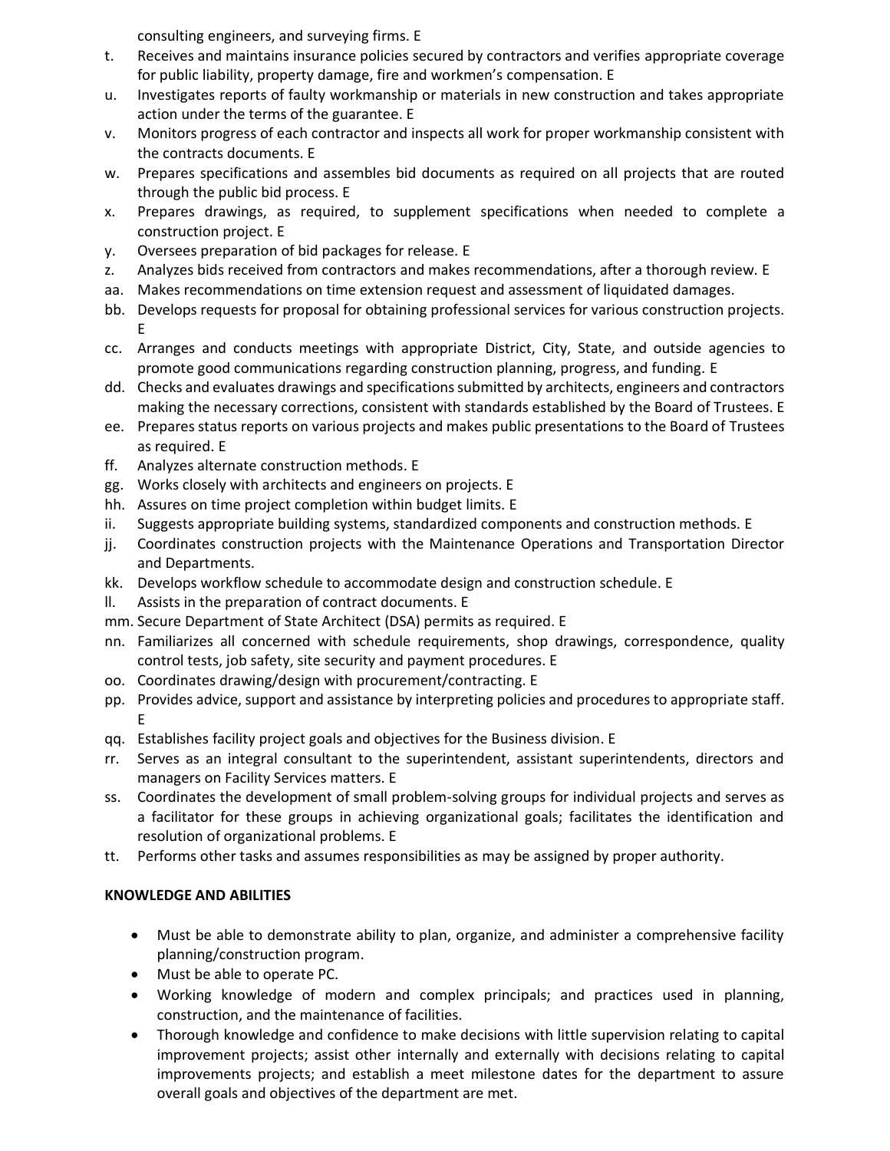consulting engineers, and surveying firms. E

- t. Receives and maintains insurance policies secured by contractors and verifies appropriate coverage for public liability, property damage, fire and workmen's compensation. E
- u. Investigates reports of faulty workmanship or materials in new construction and takes appropriate action under the terms of the guarantee. E
- v. Monitors progress of each contractor and inspects all work for proper workmanship consistent with the contracts documents. E
- w. Prepares specifications and assembles bid documents as required on all projects that are routed through the public bid process. E
- x. Prepares drawings, as required, to supplement specifications when needed to complete a construction project. E
- y. Oversees preparation of bid packages for release. E
- z. Analyzes bids received from contractors and makes recommendations, after a thorough review. E
- aa. Makes recommendations on time extension request and assessment of liquidated damages.
- bb. Develops requests for proposal for obtaining professional services for various construction projects. E
- cc. Arranges and conducts meetings with appropriate District, City, State, and outside agencies to promote good communications regarding construction planning, progress, and funding. E
- dd. Checks and evaluates drawings and specifications submitted by architects, engineers and contractors making the necessary corrections, consistent with standards established by the Board of Trustees. E
- ee. Prepares status reports on various projects and makes public presentations to the Board of Trustees as required. E
- ff. Analyzes alternate construction methods. E
- gg. Works closely with architects and engineers on projects. E
- hh. Assures on time project completion within budget limits. E
- ii. Suggests appropriate building systems, standardized components and construction methods. E
- jj. Coordinates construction projects with the Maintenance Operations and Transportation Director and Departments.
- kk. Develops workflow schedule to accommodate design and construction schedule. E
- ll. Assists in the preparation of contract documents. E
- mm. Secure Department of State Architect (DSA) permits as required. E
- nn. Familiarizes all concerned with schedule requirements, shop drawings, correspondence, quality control tests, job safety, site security and payment procedures. E
- oo. Coordinates drawing/design with procurement/contracting. E
- pp. Provides advice, support and assistance by interpreting policies and procedures to appropriate staff. E
- qq. Establishes facility project goals and objectives for the Business division. E
- rr. Serves as an integral consultant to the superintendent, assistant superintendents, directors and managers on Facility Services matters. E
- ss. Coordinates the development of small problem-solving groups for individual projects and serves as a facilitator for these groups in achieving organizational goals; facilitates the identification and resolution of organizational problems. E
- tt. Performs other tasks and assumes responsibilities as may be assigned by proper authority.

## **KNOWLEDGE AND ABILITIES**

- Must be able to demonstrate ability to plan, organize, and administer a comprehensive facility planning/construction program.
- Must be able to operate PC.
- Working knowledge of modern and complex principals; and practices used in planning, construction, and the maintenance of facilities.
- Thorough knowledge and confidence to make decisions with little supervision relating to capital improvement projects; assist other internally and externally with decisions relating to capital improvements projects; and establish a meet milestone dates for the department to assure overall goals and objectives of the department are met.